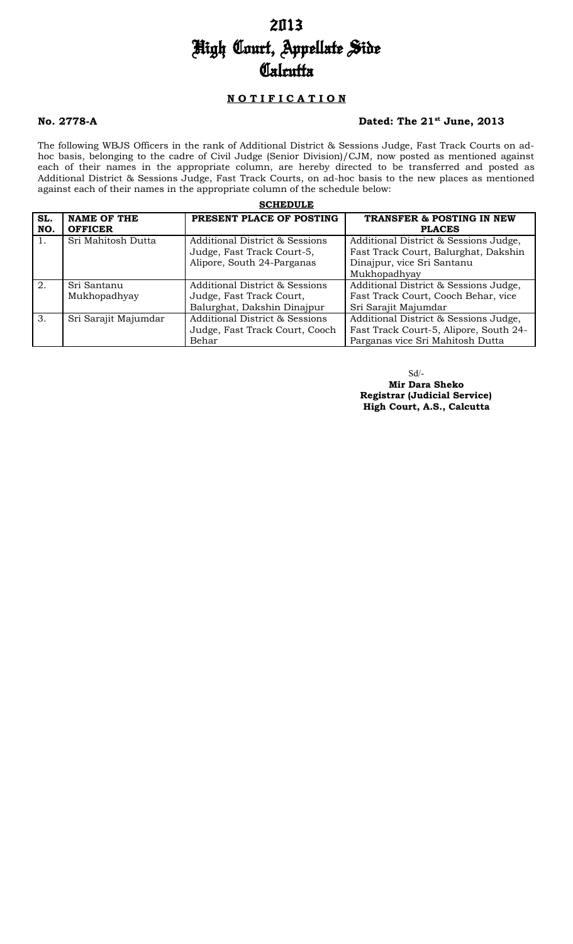# 2013 High Court, Appellate Side **Calcutta**

## **N O T I F I C A T I O N**

### **No. 2778-A Dated: The 21st June, 2013**

The following WBJS Officers in the rank of Additional District & Sessions Judge, Fast Track Courts on adhoc basis, belonging to the cadre of Civil Judge (Senior Division)/CJM, now posted as mentioned against each of their names in the appropriate column, are hereby directed to be transferred and posted as Additional District & Sessions Judge, Fast Track Courts, on ad-hoc basis to the new places as mentioned against each of their names in the appropriate column of the schedule below:

| <b>SCHEDULE</b> |                      |                                           |                                        |  |  |  |
|-----------------|----------------------|-------------------------------------------|----------------------------------------|--|--|--|
| SL.             | <b>NAME OF THE</b>   | PRESENT PLACE OF POSTING                  | <b>TRANSFER &amp; POSTING IN NEW</b>   |  |  |  |
| NO.             | <b>OFFICER</b>       |                                           | <b>PLACES</b>                          |  |  |  |
| 1.              | Sri Mahitosh Dutta   | <b>Additional District &amp; Sessions</b> | Additional District & Sessions Judge,  |  |  |  |
|                 |                      | Judge, Fast Track Court-5,                | Fast Track Court, Balurghat, Dakshin   |  |  |  |
|                 |                      | Alipore, South 24-Parganas                | Dinajpur, vice Sri Santanu             |  |  |  |
|                 |                      |                                           | Mukhopadhyay                           |  |  |  |
| 2.              | Sri Santanu          | Additional District & Sessions            | Additional District & Sessions Judge,  |  |  |  |
|                 | Mukhopadhyay         | Judge, Fast Track Court,                  | Fast Track Court, Cooch Behar, vice    |  |  |  |
|                 |                      | Balurghat, Dakshin Dinajpur               | Sri Sarajit Majumdar                   |  |  |  |
| 3.              | Sri Sarajit Majumdar | <b>Additional District &amp; Sessions</b> | Additional District & Sessions Judge,  |  |  |  |
|                 |                      | Judge, Fast Track Court, Cooch            | Fast Track Court-5, Alipore, South 24- |  |  |  |
|                 |                      | Behar                                     | Parganas vice Sri Mahitosh Dutta       |  |  |  |

Sd/-

 **Mir Dara Sheko Registrar (Judicial Service) High Court, A.S., Calcutta**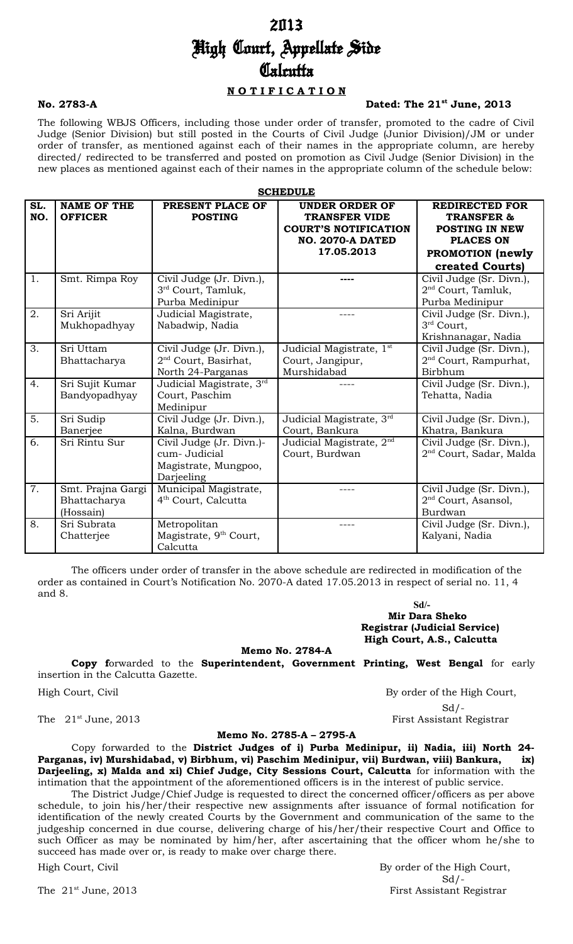# 2013 High Court, Appellate Side **Calcutta**

### **N O T I F I C A T I O N**

### **No. 2783-A Dated: The 21st June, 2013**

The following WBJS Officers, including those under order of transfer, promoted to the cadre of Civil Judge (Senior Division) but still posted in the Courts of Civil Judge (Junior Division)/JM or under order of transfer, as mentioned against each of their names in the appropriate column, are hereby directed/ redirected to be transferred and posted on promotion as Civil Judge (Senior Division) in the new places as mentioned against each of their names in the appropriate column of the schedule below:

**SCHEDULE**

| SL.<br>NO.       | <b>NAME OF THE</b><br><b>OFFICER</b>           | PRESENT PLACE OF<br><b>POSTING</b>                                              | <b>UNDER ORDER OF</b><br><b>TRANSFER VIDE</b><br><b>COURT'S NOTIFICATION</b><br><b>NO. 2070-A DATED</b><br>17.05.2013 | <b>REDIRECTED FOR</b><br><b>TRANSFER &amp;</b><br><b>POSTING IN NEW</b><br><b>PLACES ON</b><br>PROMOTION (newly<br>created Courts) |  |  |
|------------------|------------------------------------------------|---------------------------------------------------------------------------------|-----------------------------------------------------------------------------------------------------------------------|------------------------------------------------------------------------------------------------------------------------------------|--|--|
| 1.               | Smt. Rimpa Roy                                 | Civil Judge (Jr. Divn.),<br>3 <sup>rd</sup> Court, Tamluk,<br>Purba Medinipur   |                                                                                                                       | Civil Judge (Sr. Divn.),<br>$2nd$ Court, Tamluk,<br>Purba Medinipur                                                                |  |  |
| $\overline{2}$ . | Sri Arijit<br>Mukhopadhyay                     | Judicial Magistrate,<br>Nabadwip, Nadia                                         |                                                                                                                       | Civil Judge (Sr. Divn.),<br>3rd Court,<br>Krishnanagar, Nadia                                                                      |  |  |
| 3.               | Sri Uttam<br>Bhattacharya                      | Civil Judge (Jr. Divn.),<br>$2nd$ Court, Basirhat,<br>North 24-Parganas         | Judicial Magistrate, 1 <sup>st</sup><br>Court, Jangipur,<br>Murshidabad                                               | Civil Judge (Sr. Divn.),<br>2 <sup>nd</sup> Court, Rampurhat,<br>Birbhum                                                           |  |  |
| 4.               | Sri Sujit Kumar<br>Bandyopadhyay               | Judicial Magistrate, 3rd<br>Court, Paschim<br>Medinipur                         |                                                                                                                       | Civil Judge (Sr. Divn.),<br>Tehatta, Nadia                                                                                         |  |  |
| 5.               | Sri Sudip<br>Banerjee                          | Civil Judge (Jr. Divn.),<br>Kalna, Burdwan                                      | Judicial Magistrate, 3rd<br>Court, Bankura                                                                            | Civil Judge (Sr. Divn.),<br>Khatra, Bankura                                                                                        |  |  |
| 6.               | Sri Rintu Sur                                  | Civil Judge (Jr. Divn.)-<br>cum- Judicial<br>Magistrate, Mungpoo,<br>Darjeeling | Judicial Magistrate, 2 <sup>nd</sup><br>Court, Burdwan                                                                | Civil Judge (Sr. Divn.),<br>2 <sup>nd</sup> Court, Sadar, Malda                                                                    |  |  |
| $\overline{7}$ . | Smt. Prajna Gargi<br>Bhattacharya<br>(Hossain) | Municipal Magistrate,<br>4 <sup>th</sup> Court, Calcutta                        |                                                                                                                       | Civil Judge (Sr. Divn.),<br>$2nd$ Court, Asansol,<br>Burdwan                                                                       |  |  |
| 8.               | Sri Subrata<br>Chatterjee                      | Metropolitan<br>Magistrate, 9 <sup>th</sup> Court,<br>Calcutta                  |                                                                                                                       | Civil Judge (Sr. Divn.),<br>Kalyani, Nadia                                                                                         |  |  |

The officers under order of transfer in the above schedule are redirected in modification of the order as contained in Court's Notification No. 2070-A dated 17.05.2013 in respect of serial no. 11, 4 and 8.

> **Sd/- Mir Dara Sheko Registrar (Judicial Service) High Court, A.S., Calcutta**

**Memo No. 2784-A**

**Copy f**orwarded to the **Superintendent, Government Printing, West Bengal** for early insertion in the Calcutta Gazette.

High Court, Civil By order of the High Court,  $Sd$  /-The 21<sup>st</sup> June, 2013 **First Assistant Registrar** 

### **Memo No. 2785-A – 2795-A**

Copy forwarded to the **District Judges of i) Purba Medinipur, ii) Nadia, iii) North 24- Parganas, iv) Murshidabad, v) Birbhum, vi) Paschim Medinipur, vii) Burdwan, viii) Bankura, ix) Darjeeling, x) Malda and xi) Chief Judge, City Sessions Court, Calcutta** for information with the intimation that the appointment of the aforementioned officers is in the interest of public service.

The District Judge/Chief Judge is requested to direct the concerned officer/officers as per above schedule, to join his/her/their respective new assignments after issuance of formal notification for identification of the newly created Courts by the Government and communication of the same to the judgeship concerned in due course, delivering charge of his/her/their respective Court and Office to such Officer as may be nominated by him/her, after ascertaining that the officer whom he/she to succeed has made over or, is ready to make over charge there.

High Court, Civil **By order of the High Court**,  $Sd$  /-The 21<sup>st</sup> June, 2013 **First Assistant Registrar**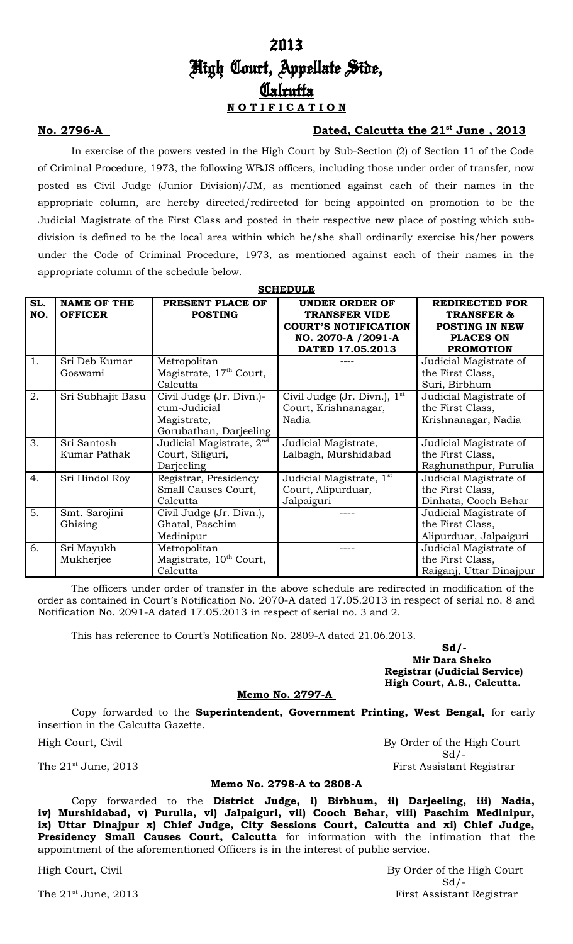# 2013 High Court, Appellate Side, **Calcutta N O T I F I C A T I O N**

### **No. 2796-A Dated, Calcutta the 21st June , 2013**

In exercise of the powers vested in the High Court by Sub-Section (2) of Section 11 of the Code of Criminal Procedure, 1973, the following WBJS officers, including those under order of transfer, now posted as Civil Judge (Junior Division)/JM, as mentioned against each of their names in the appropriate column, are hereby directed/redirected for being appointed on promotion to be the Judicial Magistrate of the First Class and posted in their respective new place of posting which subdivision is defined to be the local area within which he/she shall ordinarily exercise his/her powers under the Code of Criminal Procedure, 1973, as mentioned against each of their names in the appropriate column of the schedule below.

**SCHEDULE**

|     | ~~~~~~~             |                                      |                                      |                         |  |  |
|-----|---------------------|--------------------------------------|--------------------------------------|-------------------------|--|--|
| SL. | <b>NAME OF THE</b>  | PRESENT PLACE OF                     | <b>UNDER ORDER OF</b>                | <b>REDIRECTED FOR</b>   |  |  |
| NO. | <b>OFFICER</b>      | <b>POSTING</b>                       | <b>TRANSFER VIDE</b>                 | <b>TRANSFER &amp;</b>   |  |  |
|     |                     |                                      | <b>COURT'S NOTIFICATION</b>          | POSTING IN NEW          |  |  |
|     |                     |                                      | NO. 2070-A /2091-A                   | <b>PLACES ON</b>        |  |  |
|     |                     |                                      | DATED 17.05.2013                     | <b>PROMOTION</b>        |  |  |
| 1.  | Sri Deb Kumar       | Metropolitan                         |                                      | Judicial Magistrate of  |  |  |
|     | Goswami             | Magistrate, 17 <sup>th</sup> Court,  |                                      | the First Class,        |  |  |
|     |                     | Calcutta                             |                                      | Suri, Birbhum           |  |  |
| 2.  | Sri Subhajit Basu   | Civil Judge (Jr. Divn.)-             | Civil Judge (Jr. Divn.), $1st$       | Judicial Magistrate of  |  |  |
|     |                     | cum-Judicial                         | Court, Krishnanagar,                 | the First Class,        |  |  |
|     |                     | Magistrate,                          | Nadia                                | Krishnanagar, Nadia     |  |  |
|     |                     | Gorubathan, Darjeeling               |                                      |                         |  |  |
| 3.  | Sri Santosh         | Judicial Magistrate, 2 <sup>nd</sup> | Judicial Magistrate,                 | Judicial Magistrate of  |  |  |
|     | <b>Kumar Pathak</b> | Court, Siliguri,                     | Lalbagh, Murshidabad                 | the First Class,        |  |  |
|     |                     | Darjeeling                           |                                      | Raghunathpur, Purulia   |  |  |
| 4.  | Sri Hindol Roy      | Registrar, Presidency                | Judicial Magistrate, 1 <sup>st</sup> | Judicial Magistrate of  |  |  |
|     |                     | Small Causes Court,                  | Court, Alipurduar,                   | the First Class,        |  |  |
|     |                     | Calcutta                             | Jalpaiguri                           | Dinhata, Cooch Behar    |  |  |
| 5.  | Smt. Sarojini       | Civil Judge (Jr. Divn.),             |                                      | Judicial Magistrate of  |  |  |
|     | Ghising             | Ghatal, Paschim                      |                                      | the First Class,        |  |  |
|     |                     | Medinipur                            |                                      | Alipurduar, Jalpaiguri  |  |  |
| 6.  | Sri Mayukh          | Metropolitan                         |                                      | Judicial Magistrate of  |  |  |
|     | Mukherjee           | Magistrate, 10 <sup>th</sup> Court,  |                                      | the First Class,        |  |  |
|     |                     | Calcutta                             |                                      | Raiganj, Uttar Dinajpur |  |  |

The officers under order of transfer in the above schedule are redirected in modification of the order as contained in Court's Notification No. 2070-A dated 17.05.2013 in respect of serial no. 8 and Notification No. 2091-A dated 17.05.2013 in respect of serial no. 3 and 2.

This has reference to Court's Notification No. 2809-A dated 21.06.2013.

**Sd/- Mir Dara Sheko Registrar (Judicial Service) High Court, A.S., Calcutta.**

 $Sd$  /-

### **Memo No. 2797-A**

Copy forwarded to the **Superintendent, Government Printing, West Bengal,** for early insertion in the Calcutta Gazette.

High Court, Civil By Order of the High Court

The  $21^{\text{st}}$  June, 2013 **First Assistant Registrar** 

### **Memo No. 2798-A to 2808-A**

Copy forwarded to the **District Judge, i) Birbhum, ii) Darjeeling, iii) Nadia, iv) Murshidabad, v) Purulia, vi) Jalpaiguri, vii) Cooch Behar, viii) Paschim Medinipur, ix) Uttar Dinajpur x) Chief Judge, City Sessions Court, Calcutta and xi) Chief Judge, Presidency Small Causes Court, Calcutta** for information with the intimation that the appointment of the aforementioned Officers is in the interest of public service.

High Court, Civil **By Order of the High Court**  $Sd$  /-The 21<sup>st</sup> June, 2013 **First Assistant Registrar**